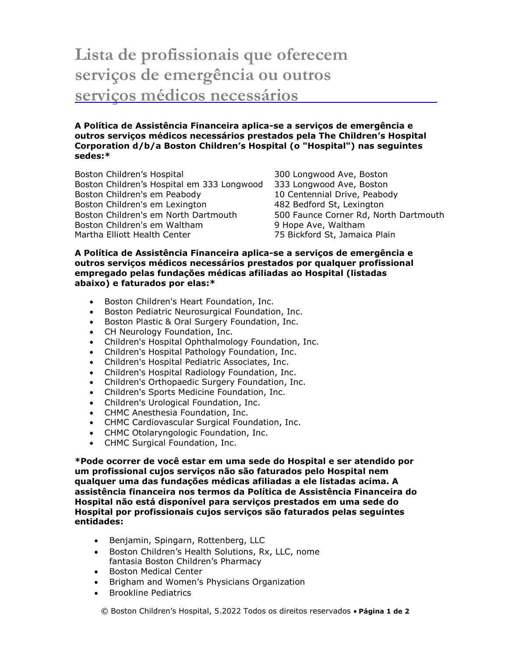## **Lista de profissionais que oferecem serviços de emergência ou outros serviços médicos necessários**

**A Política de Assistência Financeira aplica-se a serviços de emergência e outros serviços médicos necessários prestados pela The Children's Hospital Corporation d/b/a Boston Children's Hospital (o "Hospital") nas seguintes sedes:\***

Boston Children's Hospital 300 Longwood Ave, Boston Boston Children's Hospital em 333 Longwood 333 Longwood Ave, Boston Boston Children's em Peabody 10 Centennial Drive, Peabody Boston Children's em Lexington 1982 Bedford St, Lexington Boston Children's em North Dartmouth 500 Faunce Corner Rd, North Dartmouth Boston Children's em Waltham **19 Boston Children's em Waltham** Martha Elliott Health Center 75 Bickford St, Jamaica Plain

## **A Política de Assistência Financeira aplica-se a serviços de emergência e outros serviços médicos necessários prestados por qualquer profissional empregado pelas fundações médicas afiliadas ao Hospital (listadas abaixo) e faturados por elas:\***

- **•** Boston Children's Heart Foundation, Inc.
- Boston Pediatric Neurosurgical Foundation, Inc.
- **Boston Plastic & Oral Surgery Foundation, Inc.**
- CH Neurology Foundation, Inc.
- Children's Hospital Ophthalmology Foundation, Inc.
- Children's Hospital Pathology Foundation, Inc.
- Children's Hospital Pediatric Associates, Inc.
- Children's Hospital Radiology Foundation, Inc.
- Children's Orthopaedic Surgery Foundation, Inc.
- Children's Sports Medicine Foundation, Inc.
- Children's Urological Foundation, Inc.
- CHMC Anesthesia Foundation, Inc.
- CHMC Cardiovascular Surgical Foundation, Inc.
- CHMC Otolaryngologic Foundation, Inc.
- CHMC Surgical Foundation, Inc.

**\*Pode ocorrer de você estar em uma sede do Hospital e ser atendido por um profissional cujos serviços não são faturados pelo Hospital nem qualquer uma das fundações médicas afiliadas a ele listadas acima. A assistência financeira nos termos da Política de Assistência Financeira do Hospital não está disponível para serviços prestados em uma sede do Hospital por profissionais cujos serviços são faturados pelas seguintes entidades:**

- Benjamin, Spingarn, Rottenberg, LLC
- Boston Children's Health Solutions, Rx, LLC, nome fantasia Boston Children's Pharmacy
- Boston Medical Center
- Brigham and Women's Physicians Organization
- Brookline Pediatrics

© Boston Children's Hospital, 5.2022 Todos os direitos reservados **Página 1 de 2**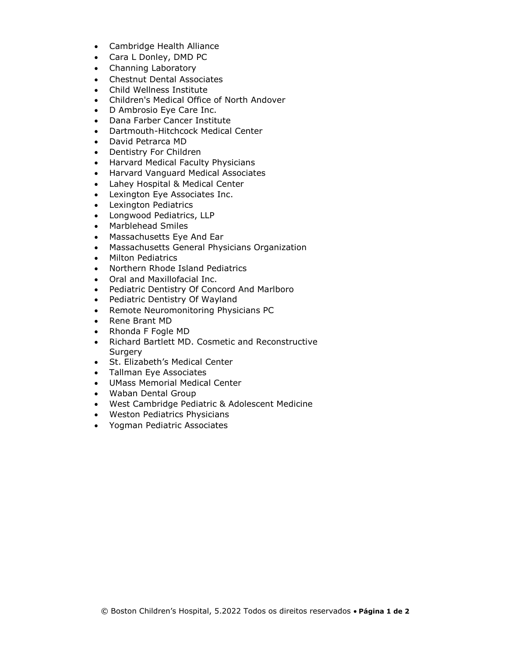- Cambridge Health Alliance
- Cara L Donley, DMD PC
- Channing Laboratory
- Chestnut Dental Associates
- Child Wellness Institute
- Children's Medical Office of North Andover
- D Ambrosio Eye Care Inc.
- Dana Farber Cancer Institute
- Dartmouth-Hitchcock Medical Center
- David Petrarca MD
- Dentistry For Children
- Harvard Medical Faculty Physicians
- Harvard Vanguard Medical Associates
- Lahey Hospital & Medical Center
- Lexington Eye Associates Inc.
- Lexington Pediatrics
- Longwood Pediatrics, LLP
- Marblehead Smiles
- Massachusetts Eye And Ear
- Massachusetts General Physicians Organization
- Milton Pediatrics
- Northern Rhode Island Pediatrics
- Oral and Maxillofacial Inc.
- Pediatric Dentistry Of Concord And Marlboro
- Pediatric Dentistry Of Wayland
- Remote Neuromonitoring Physicians PC
- Rene Brant MD
- Rhonda F Fogle MD
- Richard Bartlett MD. Cosmetic and Reconstructive **Surgery**
- St. Elizabeth's Medical Center
- Tallman Eye Associates
- UMass Memorial Medical Center
- Waban Dental Group
- West Cambridge Pediatric & Adolescent Medicine
- Weston Pediatrics Physicians
- Yogman Pediatric Associates